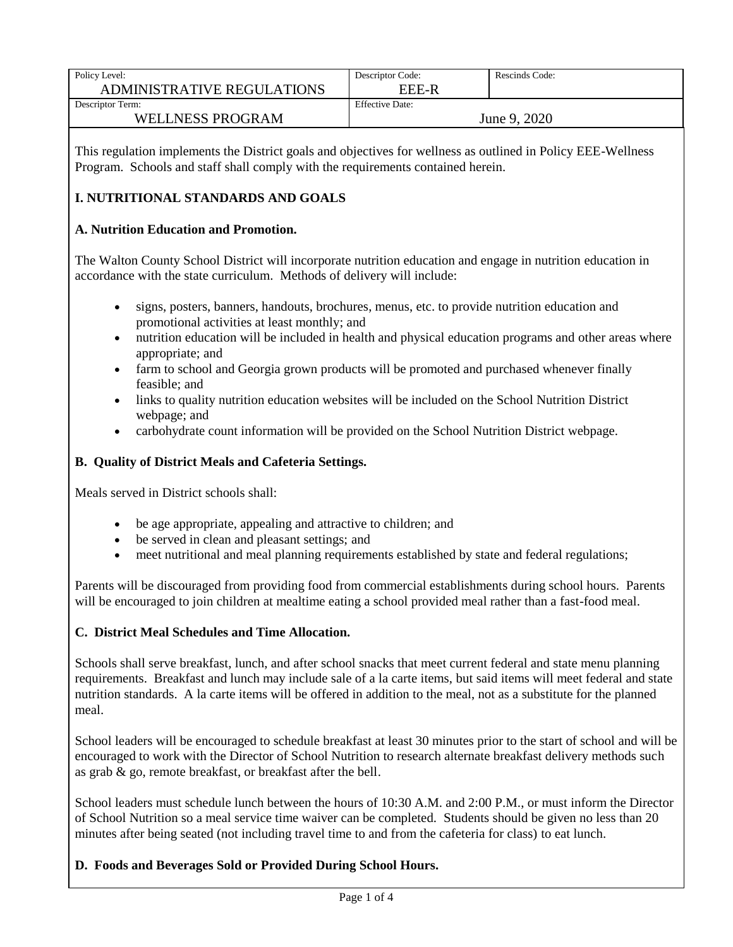| Policy Level:                     | Descriptor Code:       | Rescinds Code: |
|-----------------------------------|------------------------|----------------|
| <b>ADMINISTRATIVE REGULATIONS</b> | EEE-R                  |                |
| Descriptor Term:                  | <b>Effective Date:</b> |                |
| <b>WELLNESS PROGRAM</b>           | June 9, 2020           |                |

This regulation implements the District goals and objectives for wellness as outlined in Policy EEE-Wellness Program. Schools and staff shall comply with the requirements contained herein.

### **I. NUTRITIONAL STANDARDS AND GOALS**

#### **A. Nutrition Education and Promotion.**

The Walton County School District will incorporate nutrition education and engage in nutrition education in accordance with the state curriculum. Methods of delivery will include:

- signs, posters, banners, handouts, brochures, menus, etc. to provide nutrition education and promotional activities at least monthly; and
- nutrition education will be included in health and physical education programs and other areas where appropriate; and
- farm to school and Georgia grown products will be promoted and purchased whenever finally feasible; and
- links to quality nutrition education websites will be included on the School Nutrition District webpage; and
- carbohydrate count information will be provided on the School Nutrition District webpage.

#### **B. Quality of District Meals and Cafeteria Settings.**

Meals served in District schools shall:

- be age appropriate, appealing and attractive to children; and
- be served in clean and pleasant settings; and
- meet nutritional and meal planning requirements established by state and federal regulations;

Parents will be discouraged from providing food from commercial establishments during school hours. Parents will be encouraged to join children at mealtime eating a school provided meal rather than a fast-food meal.

#### **C. District Meal Schedules and Time Allocation.**

Schools shall serve breakfast, lunch, and after school snacks that meet current federal and state menu planning requirements. Breakfast and lunch may include sale of a la carte items, but said items will meet federal and state nutrition standards. A la carte items will be offered in addition to the meal, not as a substitute for the planned meal.

School leaders will be encouraged to schedule breakfast at least 30 minutes prior to the start of school and will be encouraged to work with the Director of School Nutrition to research alternate breakfast delivery methods such as grab & go, remote breakfast, or breakfast after the bell.

School leaders must schedule lunch between the hours of 10:30 A.M. and 2:00 P.M., or must inform the Director of School Nutrition so a meal service time waiver can be completed. Students should be given no less than 20 minutes after being seated (not including travel time to and from the cafeteria for class) to eat lunch.

#### **D. Foods and Beverages Sold or Provided During School Hours.**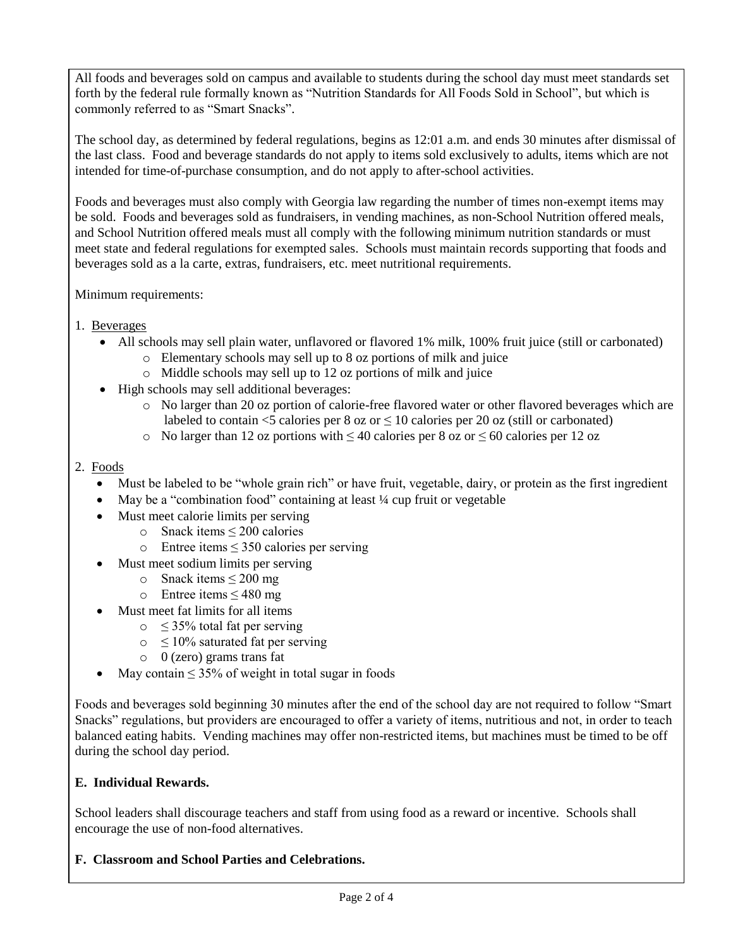All foods and beverages sold on campus and available to students during the school day must meet standards set forth by the federal rule formally known as "Nutrition Standards for All Foods Sold in School", but which is commonly referred to as "Smart Snacks".

The school day, as determined by federal regulations, begins as 12:01 a.m. and ends 30 minutes after dismissal of the last class. Food and beverage standards do not apply to items sold exclusively to adults, items which are not intended for time-of-purchase consumption, and do not apply to after-school activities.

Foods and beverages must also comply with Georgia law regarding the number of times non-exempt items may be sold. Foods and beverages sold as fundraisers, in vending machines, as non-School Nutrition offered meals, and School Nutrition offered meals must all comply with the following minimum nutrition standards or must meet state and federal regulations for exempted sales. Schools must maintain records supporting that foods and beverages sold as a la carte, extras, fundraisers, etc. meet nutritional requirements.

#### Minimum requirements:

- 1. Beverages
	- All schools may sell plain water, unflavored or flavored 1% milk, 100% fruit juice (still or carbonated)
		- o Elementary schools may sell up to 8 oz portions of milk and juice
		- o Middle schools may sell up to 12 oz portions of milk and juice
	- High schools may sell additional beverages:
		- o No larger than 20 oz portion of calorie-free flavored water or other flavored beverages which are labeled to contain <5 calories per 8 oz or  $\leq$  10 calories per 20 oz (still or carbonated)
		- o No larger than 12 oz portions with  $\leq 40$  calories per 8 oz or  $\leq 60$  calories per 12 oz

#### 2. Foods

- Must be labeled to be "whole grain rich" or have fruit, vegetable, dairy, or protein as the first ingredient
- May be a "combination food" containing at least 1/4 cup fruit or vegetable
- Must meet calorie limits per serving
	- o Snack items ≤ 200 calories
	- $\circ$  Entree items  $\leq$  350 calories per serving
- Must meet sodium limits per serving
	- o Snack items  $\leq 200$  mg
	- o Entree items ≤ 480 mg
- Must meet fat limits for all items
	- $\circ$   $\leq$  35% total fat per serving
	- $\circ$   $\leq$  10% saturated fat per serving
	- o 0 (zero) grams trans fat
- May contain  $\leq$  35% of weight in total sugar in foods

Foods and beverages sold beginning 30 minutes after the end of the school day are not required to follow "Smart Snacks" regulations, but providers are encouraged to offer a variety of items, nutritious and not, in order to teach balanced eating habits. Vending machines may offer non-restricted items, but machines must be timed to be off during the school day period.

#### **E. Individual Rewards.**

School leaders shall discourage teachers and staff from using food as a reward or incentive. Schools shall encourage the use of non-food alternatives.

#### **F. Classroom and School Parties and Celebrations.**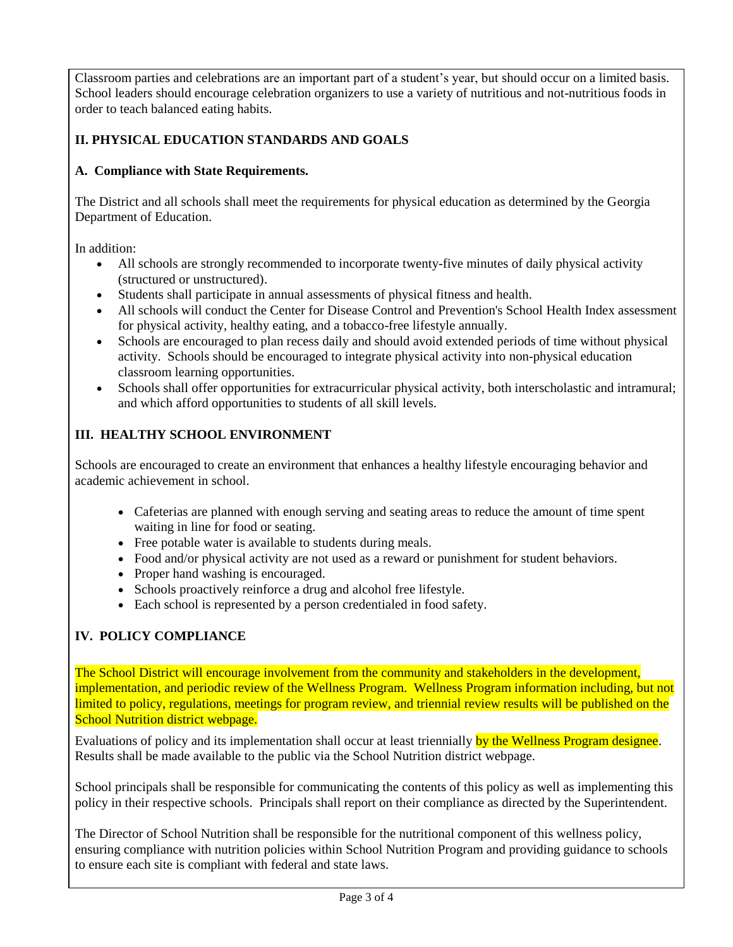Classroom parties and celebrations are an important part of a student's year, but should occur on a limited basis. School leaders should encourage celebration organizers to use a variety of nutritious and not-nutritious foods in order to teach balanced eating habits.

## **II. PHYSICAL EDUCATION STANDARDS AND GOALS**

### **A. Compliance with State Requirements.**

The District and all schools shall meet the requirements for physical education as determined by the Georgia Department of Education.

In addition:

- All schools are strongly recommended to incorporate twenty-five minutes of daily physical activity (structured or unstructured).
- Students shall participate in annual assessments of physical fitness and health.
- All schools will conduct the Center for Disease Control and Prevention's School Health Index assessment for physical activity, healthy eating, and a tobacco-free lifestyle annually.
- Schools are encouraged to plan recess daily and should avoid extended periods of time without physical activity. Schools should be encouraged to integrate physical activity into non-physical education classroom learning opportunities.
- Schools shall offer opportunities for extracurricular physical activity, both interscholastic and intramural; and which afford opportunities to students of all skill levels.

# **III. HEALTHY SCHOOL ENVIRONMENT**

Schools are encouraged to create an environment that enhances a healthy lifestyle encouraging behavior and academic achievement in school.

- Cafeterias are planned with enough serving and seating areas to reduce the amount of time spent waiting in line for food or seating.
- Free potable water is available to students during meals.
- Food and/or physical activity are not used as a reward or punishment for student behaviors.
- Proper hand washing is encouraged.
- Schools proactively reinforce a drug and alcohol free lifestyle.
- Each school is represented by a person credentialed in food safety.

## **IV. POLICY COMPLIANCE**

The School District will encourage involvement from the community and stakeholders in the development, implementation, and periodic review of the Wellness Program. Wellness Program information including, but not limited to policy, regulations, meetings for program review, and triennial review results will be published on the School Nutrition district webpage.

Evaluations of policy and its implementation shall occur at least triennially by the Wellness Program designee. Results shall be made available to the public via the School Nutrition district webpage.

School principals shall be responsible for communicating the contents of this policy as well as implementing this policy in their respective schools. Principals shall report on their compliance as directed by the Superintendent.

The Director of School Nutrition shall be responsible for the nutritional component of this wellness policy, ensuring compliance with nutrition policies within School Nutrition Program and providing guidance to schools to ensure each site is compliant with federal and state laws.